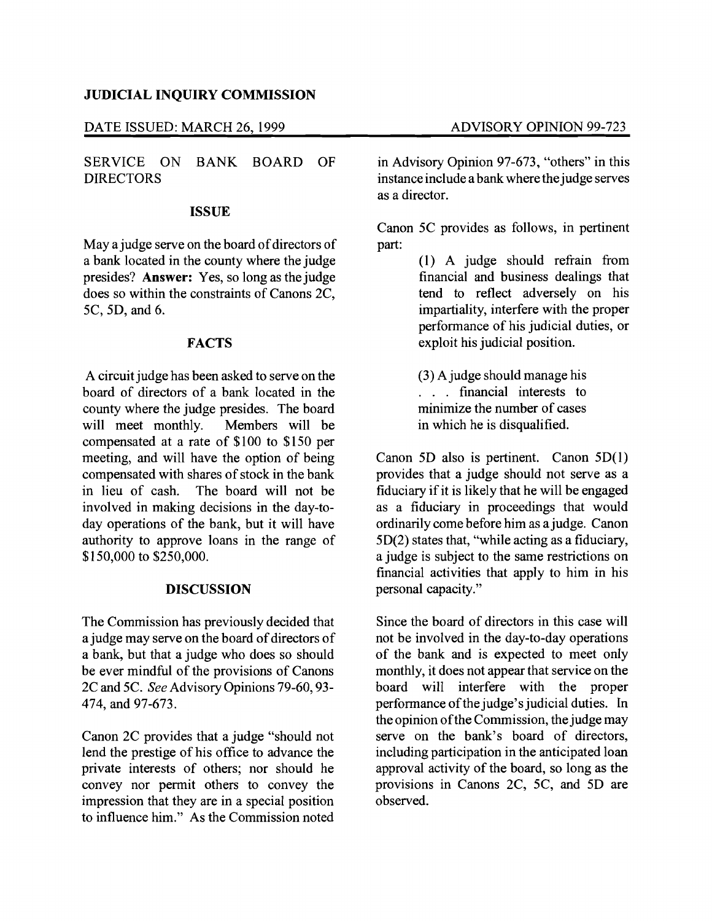## **JUDICIAL INQUIRY COMMISSION**

#### DATE ISSUED: MARCH 26, 1999 ADVISORY OPINION 99-723

SERVICE ON BANK BOARD OF DIRECTORS

#### **ISSUE**

May a judge serve on the board of directors of a bank located in the county where the judge presides? **Answer:** Yes, so long as the judge does so within the constraints of Canons 2C, 5C, 5D, and 6.

## **FACTS**

A circuit judge has been asked to serve on the board of directors of a bank located in the county where the judge presides. The board<br>will meet monthly. Members will be will meet monthly. compensated at a rate of \$100 to \$150 per meeting, and will have the option of being compensated with shares of stock in the bank<br>in lieu of cash. The board will not be The board will not be involved in making decisions in the day-today operations of the bank, but it will have authority to approve loans in the range of \$150,000 to \$250,000.

## **DISCUSSION**

The Commission has previously decided that a judge may serve on the board of directors of a bank, but that a judge who does so should be ever mindful of the provisions of Canons 2C and 5C. *See* Advisory Opinions 79-60, 93 474, and 97-673.

Canon 2C provides that a judge "should not lend the prestige of his office to advance the private interests of others; nor should he convey nor permit others to convey the impression that they are in a special position to influence him." As the Commission noted

in Advisory Opinion 97-673, "others" in this instance include a bank where the judge serves as a director.

Canon 5C provides as follows, in pertinent part:

> (1) A judge should refrain from financial and business dealings that tend to reflect adversely on his impartiality, interfere with the proper performance of his judicial duties, or exploit his judicial position.

(3) A judge should manage his . . . financial interests to minimize the number of cases in which he is disqualified.

Canon 5D also is pertinent. Canon 5D(1) provides that a judge should not serve as a fiduciary if it is likely that he will be engaged as a fiduciary in proceedings that would ordinarily come before him as a judge. Canon 5D(2) states that, "while acting as a fiduciary, a judge is subject to the same restrictions on financial activities that apply to him in his personal capacity."

Since the board of directors in this case will not be involved in the day-to-day operations of the bank and is expected to meet only monthly, it does not appear that service on the board will interfere with the proper performance of the judge's judicial duties. In the opinion ofthe Commission, the judge may serve on the bank's board of directors, including participation in the anticipated loan approval activity of the board, so long as the provisions in Canons 2C, 5C, and 5D are observed.